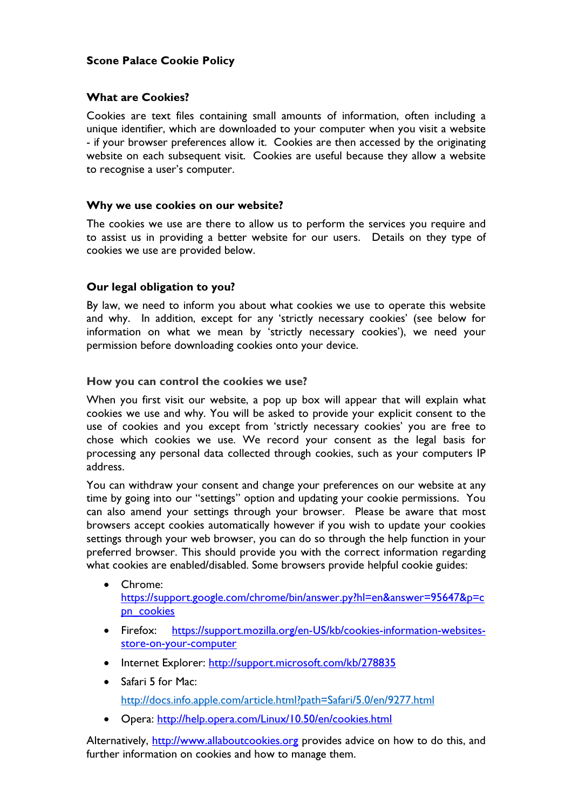# Scone Palace Cookie Policy

## What are Cookies?

Cookies are text files containing small amounts of information, often including a unique identifier, which are downloaded to your computer when you visit a website - if your browser preferences allow it. Cookies are then accessed by the originating website on each subsequent visit. Cookies are useful because they allow a website to recognise a user's computer.

### Why we use cookies on our website?

The cookies we use are there to allow us to perform the services you require and to assist us in providing a better website for our users. Details on they type of cookies we use are provided below.

# Our legal obligation to you?

By law, we need to inform you about what cookies we use to operate this website and why. In addition, except for any 'strictly necessary cookies' (see below for information on what we mean by 'strictly necessary cookies'), we need your permission before downloading cookies onto your device.

### How you can control the cookies we use?

When you first visit our website, a pop up box will appear that will explain what cookies we use and why. You will be asked to provide your explicit consent to the use of cookies and you except from 'strictly necessary cookies' you are free to chose which cookies we use. We record your consent as the legal basis for processing any personal data collected through cookies, such as your computers IP address.

You can withdraw your consent and change your preferences on our website at any time by going into our "settings" option and updating your cookie permissions. You can also amend your settings through your browser. Please be aware that most browsers accept cookies automatically however if you wish to update your cookies settings through your web browser, you can do so through the help function in your preferred browser. This should provide you with the correct information regarding what cookies are enabled/disabled. Some browsers provide helpful cookie guides:

- Chrome: https://support.google.com/chrome/bin/answer.py?hl=en&answer=95647&p=c pn\_cookies
	- Firefox: https://support.mozilla.org/en-US/kb/cookies-information-websitesstore-on-your-computer
	- Internet Explorer: http://support.microsoft.com/kb/278835
	- Safari 5 for Mac:

http://docs.info.apple.com/article.html?path=Safari/5.0/en/9277.html

• Opera: http://help.opera.com/Linux/10.50/en/cookies.html

Alternatively, http://www.allaboutcookies.org provides advice on how to do this, and further information on cookies and how to manage them.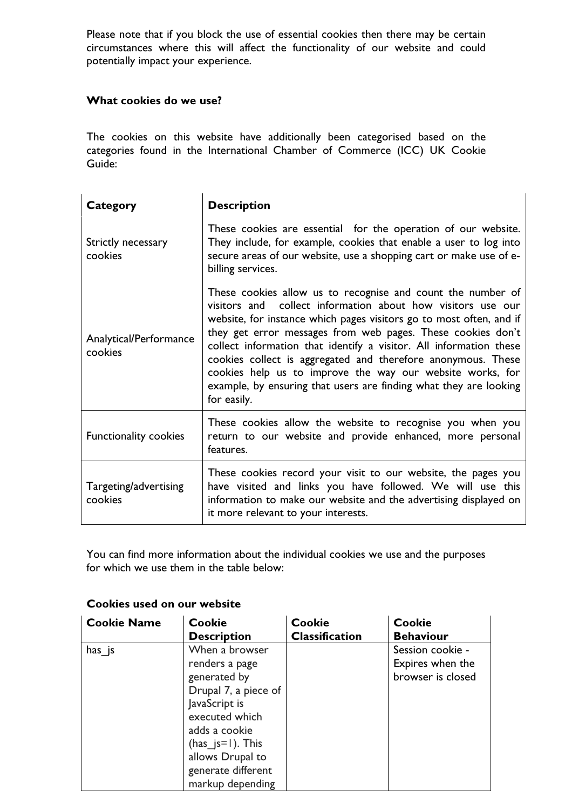Please note that if you block the use of essential cookies then there may be certain circumstances where this will affect the functionality of our website and could potentially impact your experience.

## What cookies do we use?

The cookies on this website have additionally been categorised based on the categories found in the International Chamber of Commerce (ICC) UK Cookie Guide:

| <b>Category</b>                   | <b>Description</b>                                                                                                                                                                                                                                                                                                                                                                                                                                                                                                                                      |
|-----------------------------------|---------------------------------------------------------------------------------------------------------------------------------------------------------------------------------------------------------------------------------------------------------------------------------------------------------------------------------------------------------------------------------------------------------------------------------------------------------------------------------------------------------------------------------------------------------|
| Strictly necessary<br>cookies     | These cookies are essential for the operation of our website.<br>They include, for example, cookies that enable a user to log into<br>secure areas of our website, use a shopping cart or make use of e-<br>billing services.                                                                                                                                                                                                                                                                                                                           |
| Analytical/Performance<br>cookies | These cookies allow us to recognise and count the number of<br>visitors and collect information about how visitors use our<br>website, for instance which pages visitors go to most often, and if<br>they get error messages from web pages. These cookies don't<br>collect information that identify a visitor. All information these<br>cookies collect is aggregated and therefore anonymous. These<br>cookies help us to improve the way our website works, for<br>example, by ensuring that users are finding what they are looking<br>for easily. |
| <b>Functionality cookies</b>      | These cookies allow the website to recognise you when you<br>return to our website and provide enhanced, more personal<br>features.                                                                                                                                                                                                                                                                                                                                                                                                                     |
| Targeting/advertising<br>cookies  | These cookies record your visit to our website, the pages you<br>have visited and links you have followed. We will use this<br>information to make our website and the advertising displayed on<br>it more relevant to your interests.                                                                                                                                                                                                                                                                                                                  |

You can find more information about the individual cookies we use and the purposes for which we use them in the table below:

| <b>Cookie Name</b> | Cookie                                                                                                                                                                                                            | <b>Cookie</b>         | Cookie                                                    |
|--------------------|-------------------------------------------------------------------------------------------------------------------------------------------------------------------------------------------------------------------|-----------------------|-----------------------------------------------------------|
|                    | <b>Description</b>                                                                                                                                                                                                | <b>Classification</b> | <b>Behaviour</b>                                          |
| $has$ $js$         | When a browser<br>renders a page<br>generated by<br>Drupal 7, a piece of<br>JavaScript is<br>executed which<br>adds a cookie<br>$(has_js=1)$ . This<br>allows Drupal to<br>generate different<br>markup depending |                       | Session cookie -<br>Expires when the<br>browser is closed |

### Cookies used on our website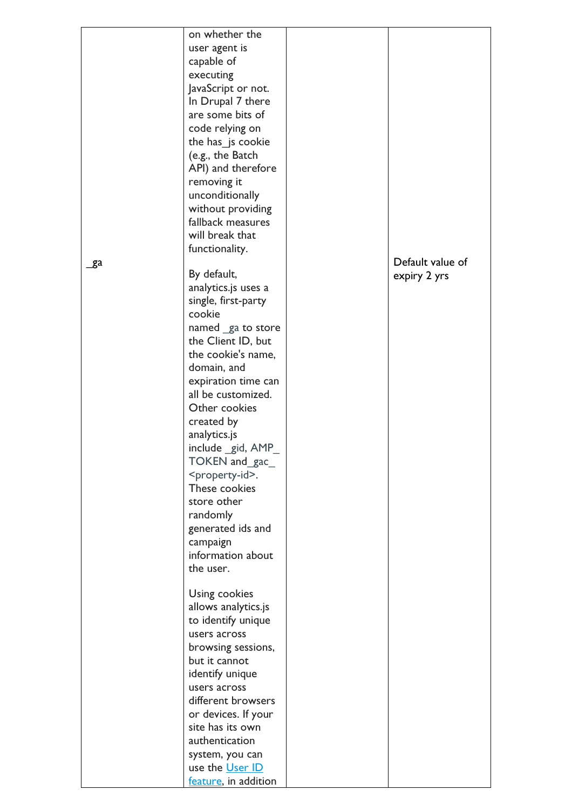|     | on whether the<br>user agent is<br>capable of<br>executing<br>JavaScript or not.<br>In Drupal 7 there<br>are some bits of<br>code relying on<br>the has_js cookie<br>(e.g., the Batch<br>API) and therefore<br>removing it<br>unconditionally<br>without providing<br>fallback measures<br>will break that<br>functionality.                                                                                                                                                         |                                  |
|-----|--------------------------------------------------------------------------------------------------------------------------------------------------------------------------------------------------------------------------------------------------------------------------------------------------------------------------------------------------------------------------------------------------------------------------------------------------------------------------------------|----------------------------------|
| _ga | By default,<br>analytics.js uses a<br>single, first-party<br>cookie<br>named ga to store<br>the Client ID, but<br>the cookie's name,<br>domain, and<br>expiration time can<br>all be customized.<br>Other cookies<br>created by<br>analytics.js<br>include gid, AMP<br>TOKEN and gac<br><property-id>.<br/>These cookies<br/>store other<br/>randomly<br/>generated ids and<br/>campaign<br/>information about<br/>the user.<br/>Using cookies<br/>allows analytics.js</property-id> | Default value of<br>expiry 2 yrs |
|     | to identify unique<br>users across<br>browsing sessions,<br>but it cannot<br>identify unique<br>users across<br>different browsers<br>or devices. If your<br>site has its own<br>authentication<br>system, you can<br>use the User ID<br>feature, in addition                                                                                                                                                                                                                        |                                  |